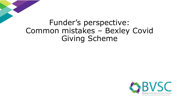# Funder's perspective: Common mistakes – Bexley Covid Giving Scheme

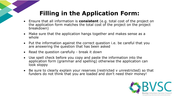## **Filling in the Application Form:**

- Ensure that all information is **consistent** (e.g. total cost of the project on the application form matches the total cost of the project on the project breakdown)
- Make sure that the application hangs together and makes sense as a whole
- Put the information against the correct question i.e. be careful that you are answering the question that has been asked
- Read the question carefully break it down
- Use spell check before you copy and paste the information into the application form (grammar and spelling) otherwise the application can look sloppy
- Be sure to clearly explain your reserves (restricted v unrestricted) so that funders do not think that you are loaded and don't need their money!

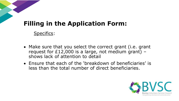#### **Filling in the Application Form:**

Specifics:

- Make sure that you select the correct grant (i.e. grant request for £12,000 is a large, not medium grant)  $$ shows lack of attention to detail
- Ensure that each of the 'breakdown of beneficiaries' is less than the total number of direct beneficiaries.

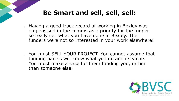## **Be Smart and sell, sell, sell:**

- Having a good track record of working in Bexley was emphasised in the comms as a priority for the funder, so really sell what you have done in Bexley. The funders were not so interested in your work elsewhere!
- You must SELL YOUR PROJECT. You cannot assume that funding panels will know what you do and its value. You must make a case for them funding you, rather than someone else!

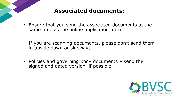

#### **Associated documents:**

- Ensure that you send the associated documents at the same time as the online application form
- If you are scanning documents, please don't send them in upside down or sideways
- Policies and governing body documents send the signed and dated version, if possible

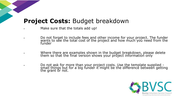#### **Project Costs:** Budget breakdown

Make sure that the totals add up!

▪ Do not forget to include fees and other income for your project. The funder wants to see the total cost of the project and how much you need from the funder

▪ Where there are examples shown in the budget breakdown, please delete them so that the final version shows your project information only

▪ Do not ask for more than your project costs. Use the template supplied small things but for a big funder it might be the difference between getting the grant or not.

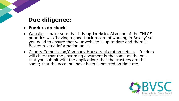#### **Due diligence:**

- **Funders do check**!
- Website make sure that it is **up to date**. Also one of the TNLCF priorities was 'having a good track record of working in Bexley' so you need to ensure that your website is up to date and there is Bexley related information on it!
- Charity Commission/Company House registration details funders will check that the governing document is the same as the one that you submit with the application; that the trustees are the same; that the accounts have been submitted on time etc.

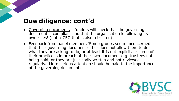#### **Due diligence: cont'd**

- Governing documents funders will check that the governing document is compliant and that the organisation is following its own rules! (note: CEO that is also a trustee)
- Feedback from panel members 'Some groups seem unconcerned that their governing document either does not allow them to do what they are asking to do, or at least it is not explicit, or some of their practice is in breach of their own document e.g. trustees not being paid, or they are just badly written and not reviewed regularly. More serious attention should be paid to the importance of the governing document'.

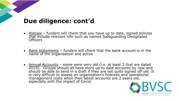#### **Due diligence: cont'd**

- Policies funders will check that you have up to date, signed policies that include relevant info such as named Safeguarding Designated Officers
- Bank statements funders will check that the bank account is in the name of the organisation and active
- Annual Accounts some were very old (i.e. at least 2 that are dated 2019). Groups should all have more up to date accounts by now and should be able to send in a draft if they are not quite signed off yet. It is very difficult to assess an organisation's finances and operational management costs when their latest accounts are 2 years old, especially with the impact of Covid.

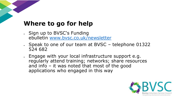#### **Where to go for help**

- Sign up to BVSC's Funding ebulletin [www.bvsc.co.uk/newsletter](http://www.bvsc.co.uk/newsletter)
- Speak to one of our team at BVSC telephone 01322 524 682
- Engage with your local infrastructure support e.g. regularly attend training; networks; share resources and info – it was noted that most of the good applications who engaged in this way

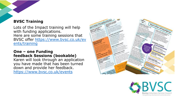#### **BVSC Training**

Lots of the Impact training will help with funding applications. Here are some training sessions that BVSC offer [https://www.bvsc.co.uk/ev](https://www.bvsc.co.uk/events/training) ents/training

#### **One – one Funding feedback Sessions (bookable)**

Karen will look through an application you have made that has been turned down and provide her feedback. <https://www.bvsc.co.uk/events>